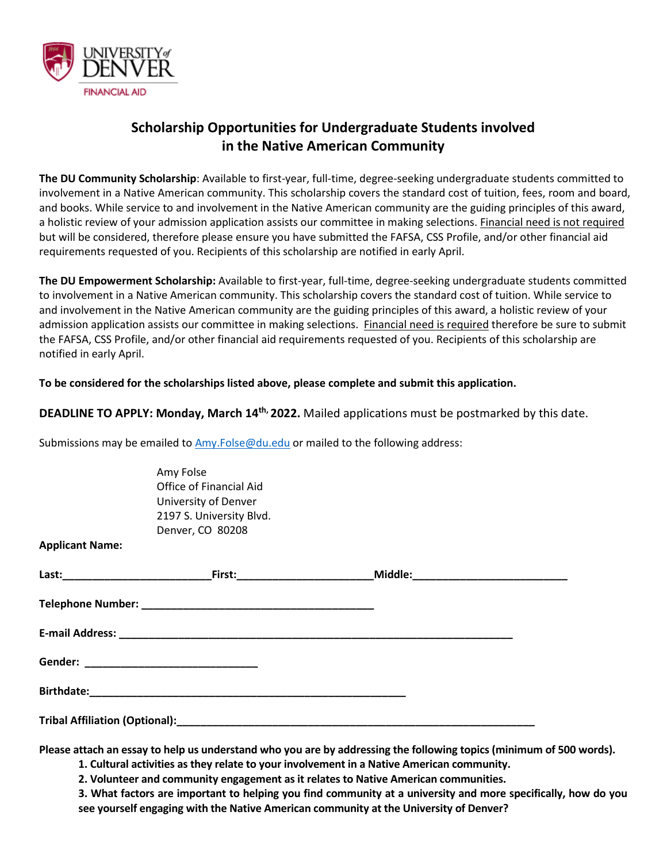

**Applicant Name:**

## **Scholarship Opportunities for Undergraduate Students involved in the Native American Community**

**The DU Community Scholarship**: Available to first-year, full-time, degree-seeking undergraduate students committed to involvement in a Native American community. This scholarship covers the standard cost of tuition, fees, room and board, and books. While service to and involvement in the Native American community are the guiding principles of this award, a holistic review of your admission application assists our committee in making selections. Financial need is not required but will be considered, therefore please ensure you have submitted the FAFSA, CSS Profile, and/or other financial aid requirements requested of you. Recipients of this scholarship are notified in early April.

**The DU Empowerment Scholarship:** Available to first-year, full-time, degree-seeking undergraduate students committed to involvement in a Native American community. This scholarship covers the standard cost of tuition. While service to and involvement in the Native American community are the guiding principles of this award, a holistic review of your admission application assists our committee in making selections. Financial need is required therefore be sure to submit the FAFSA, CSS Profile, and/or other financial aid requirements requested of you. Recipients of this scholarship are notified in early April.

## **To be considered for the scholarships listed above, please complete and submit this application.**

**DEADLINE TO APPLY: Monday, March 14th, 2022.** Mailed applications must be postmarked by this date.

Submissions may be emailed to [Amy.Folse@du.edu](mailto:Amy.Folse@du.edu) or mailed to the following address:

Amy Folse Office of Financial Aid University of Denver 2197 S. University Blvd. Denver, CO 80208

| <u> First:___________________________</u> |  |
|-------------------------------------------|--|
|                                           |  |
|                                           |  |
|                                           |  |
|                                           |  |
|                                           |  |

**Please attach an essay to help us understand who you are by addressing the following topics (minimum of 500 words).** 

**1. Cultural activities as they relate to your involvement in a Native American community.**

**2. Volunteer and community engagement as it relates to Native American communities.**

**3. What factors are important to helping you find community at a university and more specifically, how do you see yourself engaging with the Native American community at the University of Denver?**